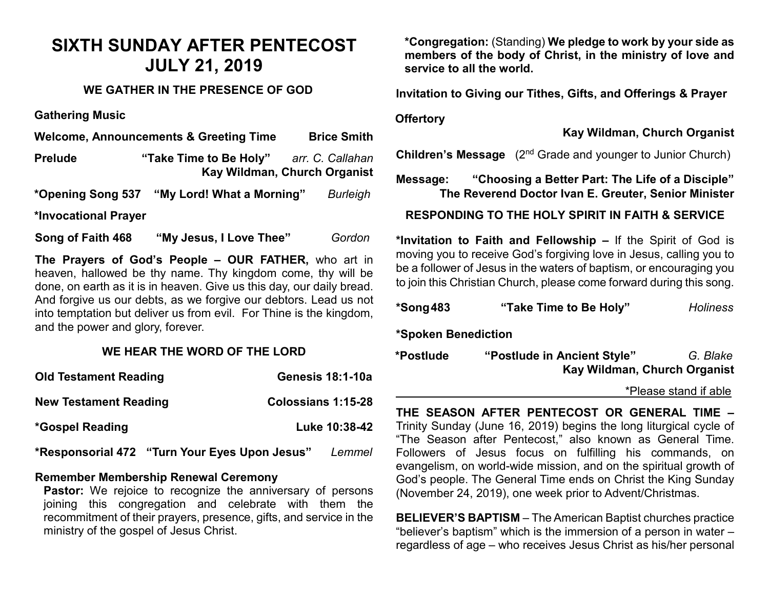# **SIXTH SUNDAY AFTER PENTECOST JULY 21, 2019**

# **WE GATHER IN THE PRESENCE OF GOD**

**Gathering Music**

**Welcome, Announcements & Greeting Time Brice Smith**

**Prelude "Take Time to Be Holy"** *arr. C. Callahan*  **Kay Wildman, Church Organist**

**\*Opening Song 537 "My Lord! What a Morning"** *Burleigh*

**\*Invocational Prayer** 

**Song of Faith 468 "My Jesus, I Love Thee"** *Gordon*

**The Prayers of God's People – OUR FATHER,** who art in heaven, hallowed be thy name. Thy kingdom come, thy will be done, on earth as it is in heaven. Give us this day, our daily bread. And forgive us our debts, as we forgive our debtors. Lead us not into temptation but deliver us from evil. For Thine is the kingdom, and the power and glory, forever.

# **WE HEAR THE WORD OF THE LORD**

| <b>Old Testament Reading</b>                  | <b>Genesis 18:1-10a</b>   |
|-----------------------------------------------|---------------------------|
| <b>New Testament Reading</b>                  | <b>Colossians 1:15-28</b> |
| *Gospel Reading                               | Luke 10:38-42             |
| *Responsorial 472 "Turn Your Eyes Upon Jesus" | Lemmel                    |

#### **Remember Membership Renewal Ceremony**

Pastor: We rejoice to recognize the anniversary of persons joining this congregation and celebrate with them the recommitment of their prayers, presence, gifts, and service in the ministry of the gospel of Jesus Christ.

**\*Congregation:** (Standing) **We pledge to work by your side as members of the body of Christ, in the ministry of love and service to all the world.**

**Invitation to Giving our Tithes, Gifts, and Offerings & Prayer**

#### **Offertory**

**Kay Wildman, Church Organist**

**Children's Message** (2<sup>nd</sup> Grade and younger to Junior Church)

**Message: "Choosing a Better Part: The Life of a Disciple" The Reverend Doctor Ivan E. Greuter, Senior Minister**

# **RESPONDING TO THE HOLY SPIRIT IN FAITH & SERVICE**

**\*Invitation to Faith and Fellowship –** If the Spirit of God is moving you to receive God's forgiving love in Jesus, calling you to be a follower of Jesus in the waters of baptism, or encouraging you to join this Christian Church, please come forward during this song.

| *Song 483 | "Take Time to Be Holy" | <b>Holiness</b> |
|-----------|------------------------|-----------------|
|           |                        |                 |

**\*Spoken Benediction** 

**\*Postlude "Postlude in Ancient Style"** *G. Blake* **Kay Wildman, Church Organist**

\*Please stand if able

**THE SEASON AFTER PENTECOST OR GENERAL TIME –** Trinity Sunday (June 16, 2019) begins the long liturgical cycle of "The Season after Pentecost," also known as General Time. Followers of Jesus focus on fulfilling his commands, on evangelism, on world-wide mission, and on the spiritual growth of God's people. The General Time ends on Christ the King Sunday (November 24, 2019), one week prior to Advent/Christmas.

**BELIEVER'S BAPTISM** – The American Baptist churches practice "believer's baptism" which is the immersion of a person in water – regardless of age – who receives Jesus Christ as his/her personal